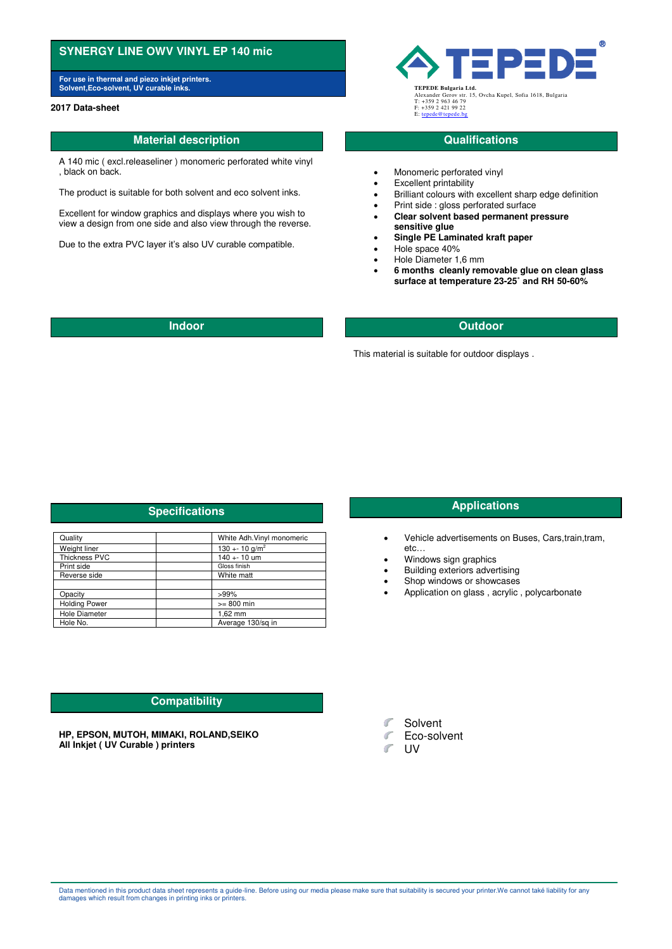# **SYNERGY LINE OWV VINYL EP 140 mic**

**For use in thermal and piezo inkjet printers. Solvent,Eco-solvent, UV curable inks. TEPEDE Bulgaria Ltd.**

### **2017 Data-sheet**

# **Material description CONSISTENT AND INTERFERIMAL CONSISTENT CONSISTENT AND INTERFERIMENT CONSISTENT AND INTERFERIMENT CONSISTENT AND INTERFERIMENT CONSISTENT AND INTERFERIMENT CONSISTENT AND INTERFERIMENT CONSISTENT AND**

A 140 mic ( excl.releaseliner ) monomeric perforated white vinyl , black on back.

The product is suitable for both solvent and eco solvent inks.

Excellent for window graphics and displays where you wish to view a design from one side and also view through the reverse.

Due to the extra PVC layer it's also UV curable compatible.

**TEPE** 

Alexander Gerov str. 15, Ovcha Kupel, Sofia 1618, Bulgaria T: +359 2 963 46 79 F: +359 2 421 99 22 E: ten

- Monomeric perforated vinyl
- Excellent printability
- Brilliant colours with excellent sharp edge definition
- Print side : gloss perforated surface
- **Clear solvent based permanent pressure sensitive glue**
- **Single PE Laminated kraft paper**
- Hole space 40%
- Hole Diameter 1,6 mm
- **6 months cleanly removable glue on clean glass surface at temperature 23-25˚ and RH 50-60%**

## **Indoor Outdoor**

This material is suitable for outdoor displays .

# **Specifications Applications Applications**

| Quality              | White Adh Vinyl monomeric |
|----------------------|---------------------------|
| Weight liner         | 130 + - 10 $g/m^2$        |
| <b>Thickness PVC</b> | $140 + 10$ um             |
| Print side           | Gloss finish              |
| Reverse side         | White matt                |
|                      |                           |
| Opacity              | $>99\%$                   |
| <b>Holding Power</b> | $>= 800$ min              |
| <b>Hole Diameter</b> | $1.62$ mm                 |
| Hole No.             | Average 130/sg in         |

- Vehicle advertisements on Buses, Cars,train,tram, etc…
	- Windows sign graphics
- Building exteriors advertising
- Shop windows or showcases
- Application on glass , acrylic , polycarbonate

# **Compatibility**

**HP, EPSON, MUTOH, MIMAKI, ROLAND,SEIKO All Inkjet ( UV Curable ) printers** 



- **Eco-solvent**
- $\mathcal{C}^{\mathcal{C}}$ UV